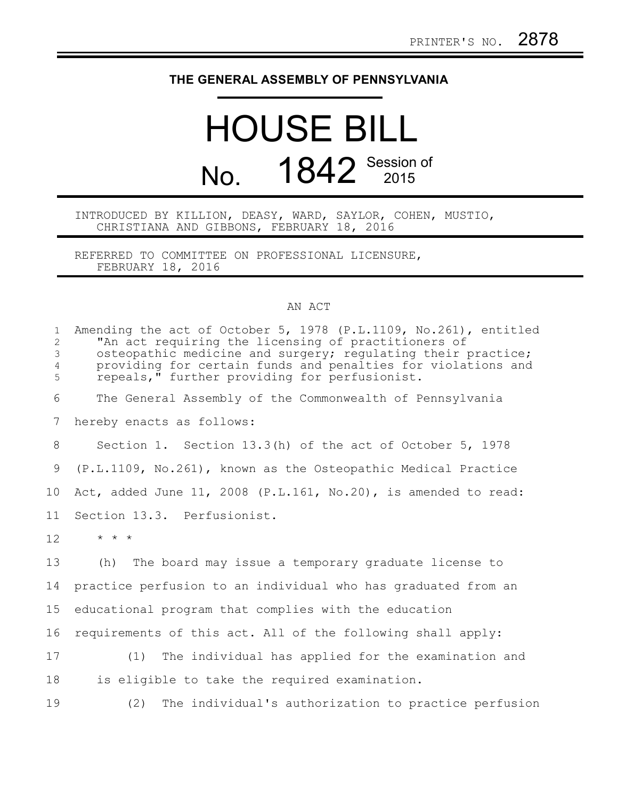## **THE GENERAL ASSEMBLY OF PENNSYLVANIA**

## HOUSE BILL No. 1842 Session of

INTRODUCED BY KILLION, DEASY, WARD, SAYLOR, COHEN, MUSTIO, CHRISTIANA AND GIBBONS, FEBRUARY 18, 2016

REFERRED TO COMMITTEE ON PROFESSIONAL LICENSURE, FEBRUARY 18, 2016

## AN ACT

| $\mathbf{1}$<br>$\overline{2}$<br>3<br>$\overline{4}$<br>5 | Amending the act of October 5, 1978 (P.L.1109, No.261), entitled<br>"An act requiring the licensing of practitioners of<br>osteopathic medicine and surgery; regulating their practice;<br>providing for certain funds and penalties for violations and<br>repeals," further providing for perfusionist. |
|------------------------------------------------------------|----------------------------------------------------------------------------------------------------------------------------------------------------------------------------------------------------------------------------------------------------------------------------------------------------------|
| 6                                                          | The General Assembly of the Commonwealth of Pennsylvania                                                                                                                                                                                                                                                 |
| 7                                                          | hereby enacts as follows:                                                                                                                                                                                                                                                                                |
| 8                                                          | Section 1. Section 13.3(h) of the act of October 5, 1978                                                                                                                                                                                                                                                 |
| 9                                                          | (P.L.1109, No.261), known as the Osteopathic Medical Practice                                                                                                                                                                                                                                            |
| 10                                                         | Act, added June 11, 2008 (P.L.161, No.20), is amended to read:                                                                                                                                                                                                                                           |
| 11                                                         | Section 13.3. Perfusionist.                                                                                                                                                                                                                                                                              |
| 12                                                         | $\star$ $\star$ $\star$                                                                                                                                                                                                                                                                                  |
| 13                                                         | (h) The board may issue a temporary graduate license to                                                                                                                                                                                                                                                  |
| 14                                                         | practice perfusion to an individual who has graduated from an                                                                                                                                                                                                                                            |
| 15                                                         | educational program that complies with the education                                                                                                                                                                                                                                                     |
| 16                                                         | requirements of this act. All of the following shall apply:                                                                                                                                                                                                                                              |
| 17                                                         | (1) The individual has applied for the examination and                                                                                                                                                                                                                                                   |
| 18                                                         | is eligible to take the required examination.                                                                                                                                                                                                                                                            |
| 19                                                         | (2)<br>The individual's authorization to practice perfusion                                                                                                                                                                                                                                              |